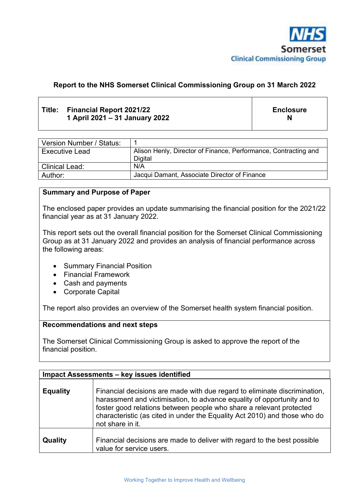

## **Report to the NHS Somerset Clinical Commissioning Group on 31 March 2022**

## **Title: Financial Report 2021/22 1 April 2021 – 31 January 2022**

**Enclosure N** 

| Version Number / Status: |                                                                 |
|--------------------------|-----------------------------------------------------------------|
| Executive Lead           | Alison Henly, Director of Finance, Performance, Contracting and |
|                          | Digital                                                         |
| Clinical Lead:           | N/A                                                             |
| Author:                  | Jacqui Damant, Associate Director of Finance                    |

#### **Summary and Purpose of Paper**

The enclosed paper provides an update summarising the financial position for the 2021/22 financial year as at 31 January 2022.

This report sets out the overall financial position for the Somerset Clinical Commissioning Group as at 31 January 2022 and provides an analysis of financial performance across the following areas:

- Summary Financial Position
- Financial Framework
- Cash and payments
- Corporate Capital

The report also provides an overview of the Somerset health system financial position.

#### **Recommendations and next steps**

The Somerset Clinical Commissioning Group is asked to approve the report of the financial position.

| Impact Assessments - key issues identified |                                                                                                                                                                                                                                                                                                                              |  |
|--------------------------------------------|------------------------------------------------------------------------------------------------------------------------------------------------------------------------------------------------------------------------------------------------------------------------------------------------------------------------------|--|
| <b>Equality</b>                            | Financial decisions are made with due regard to eliminate discrimination,<br>harassment and victimisation, to advance equality of opportunity and to<br>foster good relations between people who share a relevant protected<br>characteristic (as cited in under the Equality Act 2010) and those who do<br>not share in it. |  |
| Quality                                    | Financial decisions are made to deliver with regard to the best possible<br>value for service users.                                                                                                                                                                                                                         |  |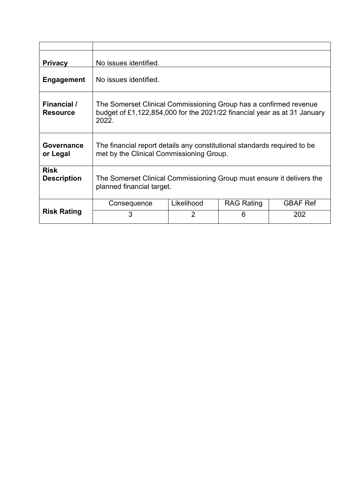| <b>Privacy</b>                    | No issues identified.                                                                                                                                  |            |                   |                 |  |
|-----------------------------------|--------------------------------------------------------------------------------------------------------------------------------------------------------|------------|-------------------|-----------------|--|
| <b>Engagement</b>                 | No issues identified.                                                                                                                                  |            |                   |                 |  |
| Financial /<br><b>Resource</b>    | The Somerset Clinical Commissioning Group has a confirmed revenue<br>budget of £1,122,854,000 for the 2021/22 financial year as at 31 January<br>2022. |            |                   |                 |  |
| Governance<br>or Legal            | The financial report details any constitutional standards required to be<br>met by the Clinical Commissioning Group.                                   |            |                   |                 |  |
| <b>Risk</b><br><b>Description</b> | The Somerset Clinical Commissioning Group must ensure it delivers the<br>planned financial target.                                                     |            |                   |                 |  |
|                                   | Consequence                                                                                                                                            | Likelihood | <b>RAG Rating</b> | <b>GBAF Ref</b> |  |
| <b>Risk Rating</b>                | 3<br>$\mathfrak{p}$<br>6<br>202                                                                                                                        |            |                   |                 |  |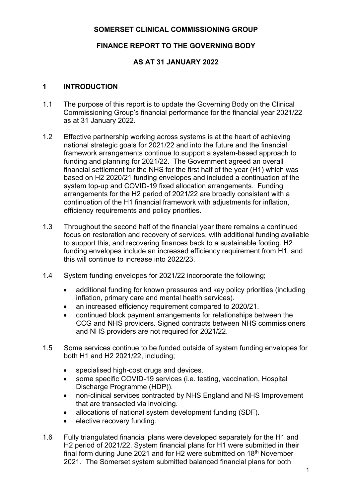## **SOMERSET CLINICAL COMMISSIONING GROUP**

# **FINANCE REPORT TO THE GOVERNING BODY**

# **AS AT 31 JANUARY 2022**

## **1 INTRODUCTION**

- 1.1 The purpose of this report is to update the Governing Body on the Clinical Commissioning Group's financial performance for the financial year 2021/22 as at 31 January 2022.
- 1.2 Effective partnership working across systems is at the heart of achieving national strategic goals for 2021/22 and into the future and the financial framework arrangements continue to support a system-based approach to funding and planning for 2021/22. The Government agreed an overall financial settlement for the NHS for the first half of the year (H1) which was based on H2 2020/21 funding envelopes and included a continuation of the system top-up and COVID-19 fixed allocation arrangements. Funding arrangements for the H2 period of 2021/22 are broadly consistent with a continuation of the H1 financial framework with adjustments for inflation, efficiency requirements and policy priorities.
- 1.3 Throughout the second half of the financial year there remains a continued focus on restoration and recovery of services, with additional funding available to support this, and recovering finances back to a sustainable footing. H2 funding envelopes include an increased efficiency requirement from H1, and this will continue to increase into 2022/23.
- 1.4 System funding envelopes for 2021/22 incorporate the following;
	- additional funding for known pressures and key policy priorities (including inflation, primary care and mental health services).
	- an increased efficiency requirement compared to 2020/21.
	- continued block payment arrangements for relationships between the CCG and NHS providers. Signed contracts between NHS commissioners and NHS providers are not required for 2021/22.
- 1.5 Some services continue to be funded outside of system funding envelopes for both H1 and H2 2021/22, including;
	- specialised high-cost drugs and devices.
	- some specific COVID-19 services (i.e. testing, vaccination, Hospital Discharge Programme (HDP)).
	- non-clinical services contracted by NHS England and NHS Improvement that are transacted via invoicing.
	- allocations of national system development funding (SDF).
	- elective recovery funding.
- 1.6 Fully triangulated financial plans were developed separately for the H1 and H2 period of 2021/22. System financial plans for H1 were submitted in their final form during June 2021 and for H2 were submitted on  $18<sup>th</sup>$  November 2021. The Somerset system submitted balanced financial plans for both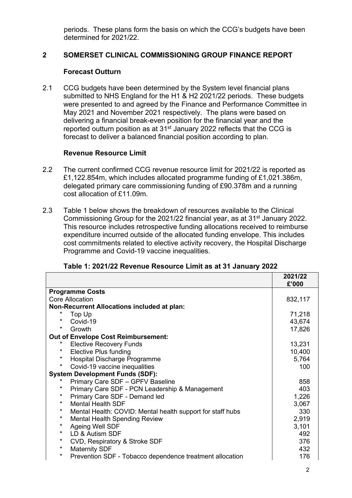periods. These plans form the basis on which the CCG's budgets have been determined for 2021/22.

## **2 SOMERSET CLINICAL COMMISSIONING GROUP FINANCE REPORT**

#### **Forecast Outturn**

2.1 CCG budgets have been determined by the System level financial plans submitted to NHS England for the H1 & H2 2021/22 periods. These budgets were presented to and agreed by the Finance and Performance Committee in May 2021 and November 2021 respectively. The plans were based on delivering a financial break-even position for the financial year and the reported outturn position as at  $31<sup>st</sup>$  January 2022 reflects that the CCG is forecast to deliver a balanced financial position according to plan.

#### **Revenue Resource Limit**

- 2.2 The current confirmed CCG revenue resource limit for 2021/22 is reported as £1,122.854m, which includes allocated programme funding of £1,021.386m, delegated primary care commissioning funding of £90.378m and a running cost allocation of £11.09m.
- 2.3 Table 1 below shows the breakdown of resources available to the Clinical Commissioning Group for the 2021/22 financial year, as at 31st January 2022. This resource includes retrospective funding allocations received to reimburse expenditure incurred outside of the allocated funding envelope. This includes cost commitments related to elective activity recovery, the Hospital Discharge Programme and Covid-19 vaccine inequalities.

|                                                                       | 2021/22<br>£'000 |
|-----------------------------------------------------------------------|------------------|
| <b>Programme Costs</b>                                                |                  |
| <b>Core Allocation</b>                                                | 832,117          |
| Non-Recurrent Allocations included at plan:                           |                  |
| *<br>Top Up                                                           | 71,218           |
| *<br>Covid-19                                                         | 43,674           |
| $^\star$<br>Growth                                                    | 17,826           |
| <b>Out of Envelope Cost Reimbursement:</b>                            |                  |
| *<br><b>Elective Recovery Funds</b>                                   | 13,231           |
| $\star$<br><b>Elective Plus funding</b>                               | 10,400           |
| $\star$<br>Hospital Discharge Programme                               | 5,764            |
| $\star$<br>Covid-19 vaccine inequalities                              | 100              |
| <b>System Development Funds (SDF):</b>                                |                  |
| Primary Care SDF - GPFV Baseline                                      | 858              |
| $\star$<br>Primary Care SDF - PCN Leadership & Management             | 403              |
| $\star$<br>Primary Care SDF - Demand led                              | 1,226            |
| $\star$<br><b>Mental Health SDF</b>                                   | 3,067            |
| $\star$<br>Mental Health: COVID: Mental health support for staff hubs | 330              |
| $\star$<br><b>Mental Health Spending Review</b>                       | 2,919            |
| *<br>Ageing Well SDF                                                  | 3,101            |
| $\star$<br>LD & Autism SDF                                            | 492              |
| $^\star$<br>CVD, Respiratory & Stroke SDF                             | 376              |
| $\star$<br><b>Maternity SDF</b>                                       | 432              |
| $\star$<br>Prevention SDF - Tobacco dependence treatment allocation   | 176              |

#### **Table 1: 2021/22 Revenue Resource Limit as at 31 January 2022**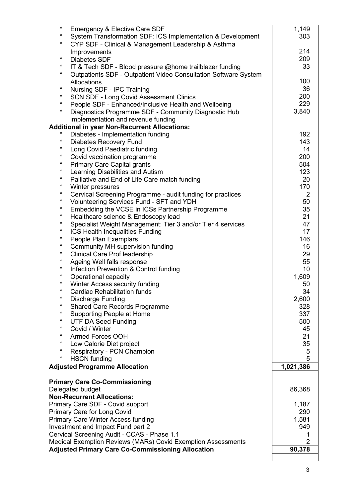| $^\star$<br>$\star$ | <b>Emergency &amp; Elective Care SDF</b><br>System Transformation SDF: ICS Implementation & Development | 1,149<br>303   |
|---------------------|---------------------------------------------------------------------------------------------------------|----------------|
| $^\star$            | CYP SDF - Clinical & Management Leadership & Asthma                                                     |                |
|                     | Improvements                                                                                            | 214            |
| $^\star$            | <b>Diabetes SDF</b>                                                                                     | 209            |
| $\star$             | IT & Tech SDF - Blood pressure @home trailblazer funding                                                | 33             |
| $\star$             | Outpatients SDF - Outpatient Video Consultation Software System                                         |                |
| $^\star$            | Allocations                                                                                             | 100            |
| $\star$             | Nursing SDF - IPC Training                                                                              | 36             |
| $\star$             | <b>SCN SDF - Long Covid Assessment Clinics</b>                                                          | 200            |
| *                   | People SDF - Enhanced/Inclusive Health and Wellbeing                                                    | 229            |
|                     | Diagnostics Programme SDF - Community Diagnostic Hub                                                    | 3,840          |
|                     | implementation and revenue funding                                                                      |                |
| $\star$             | <b>Additional in year Non-Recurrent Allocations:</b><br>Diabetes - Implementation funding               | 192            |
| $^\star$            | <b>Diabetes Recovery Fund</b>                                                                           | 143            |
| $\star$             | Long Covid Paediatric funding                                                                           | 14             |
| $\star$             | Covid vaccination programme                                                                             | 200            |
| $\star$             | <b>Primary Care Capital grants</b>                                                                      | 504            |
| $\star$             | Learning Disabilities and Autism                                                                        | 123            |
| $\star$             | Palliative and End of Life Care match funding                                                           | 20             |
| $\star$             | Winter pressures                                                                                        | 170            |
| $\star$             | Cervical Screening Programme - audit funding for practices                                              | $\overline{2}$ |
| $\star$             | Volunteering Services Fund - SFT and YDH                                                                | 50             |
| $\star$             | Embedding the VCSE in ICSs Partnership Programme                                                        | 35             |
| $^\star$            | Healthcare science & Endoscopy lead                                                                     | 21             |
| $^\star$            | Specialist Weight Management: Tier 3 and/or Tier 4 services                                             | 47             |
| $\star$             | ICS Health Inequalities Funding                                                                         | 17             |
| $\star$             | People Plan Exemplars                                                                                   | 146            |
| $\star$             | Community MH supervision funding                                                                        | 16             |
| $\star$             | <b>Clinical Care Prof leadership</b>                                                                    | 29             |
| $\star$             | Ageing Well falls response                                                                              | 55             |
| $\star$             | Infection Prevention & Control funding                                                                  | 10             |
| $^\star$            | Operational capacity                                                                                    | 1,609          |
| $\star$             | Winter Access security funding                                                                          | 50             |
|                     | <b>Cardiac Rehabilitation funds</b>                                                                     | 34             |
| $^\star$            | <b>Discharge Funding</b>                                                                                | 2,600          |
| $\star$             | <b>Shared Care Records Programme</b>                                                                    | 328            |
| $^\star$            | Supporting People at Home                                                                               | 337            |
| $\star$             | <b>UTF DA Seed Funding</b>                                                                              | 500            |
| $\star$             | Covid / Winter                                                                                          | 45             |
| $\star$             | <b>Armed Forces OOH</b>                                                                                 | 21             |
| $^\star$            | Low Calorie Diet project                                                                                | 35             |
| $\star$             | Respiratory - PCN Champion                                                                              | 5              |
| $\star$             | <b>HSCN</b> funding                                                                                     | 5              |
|                     | <b>Adjusted Programme Allocation</b>                                                                    | 1,021,386      |
|                     | <b>Primary Care Co-Commissioning</b>                                                                    |                |
|                     | Delegated budget                                                                                        | 86,368         |
|                     | <b>Non-Recurrent Allocations:</b>                                                                       |                |
|                     | Primary Care SDF - Covid support                                                                        | 1,187          |
|                     | Primary Care for Long Covid                                                                             | 290            |
|                     | <b>Primary Care Winter Access funding</b>                                                               | 1,581          |
|                     | Investment and Impact Fund part 2                                                                       | 949            |
|                     | Cervical Screening Audit - CCAS - Phase 1.1                                                             | 1              |
|                     | Medical Exemption Reviews (MARs) Covid Exemption Assessments                                            | $\overline{2}$ |
|                     | <b>Adjusted Primary Care Co-Commissioning Allocation</b>                                                | 90,378         |
|                     |                                                                                                         |                |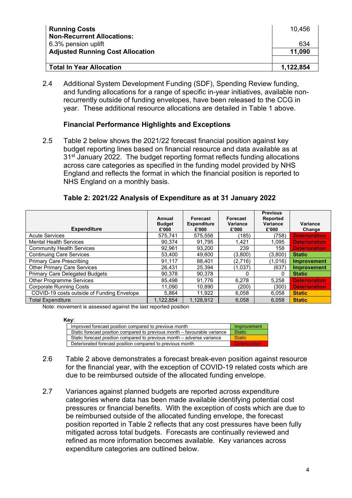| <b>Running Costs</b><br><b>Non-Recurrent Allocations:</b> | 10,456    |
|-----------------------------------------------------------|-----------|
| 6.3% pension uplift                                       | 634       |
| <b>Adjusted Running Cost Allocation</b>                   | 11,090    |
|                                                           |           |
| Total In Year Allocation                                  | 1,122,854 |

2.4 Additional System Development Funding (SDF), Spending Review funding, and funding allocations for a range of specific in-year initiatives, available nonrecurrently outside of funding envelopes, have been released to the CCG in year. These additional resource allocations are detailed in Table 1 above.

#### **Financial Performance Highlights and Exceptions**

2.5 Table 2 below shows the 2021/22 forecast financial position against key budget reporting lines based on financial resource and data available as at 31<sup>st</sup> January 2022. The budget reporting format reflects funding allocations across care categories as specified in the funding model provided by NHS England and reflects the format in which the financial position is reported to NHS England on a monthly basis.

| Annual<br><b>Budget</b><br>£'000 | <b>Forecast</b><br><b>Expenditure</b><br>£'000 | Forecast<br><b>Variance</b><br>£'000                                | <b>Previous</b><br><b>Reported</b><br>Variance<br>£'000 | Variance<br>Change   |
|----------------------------------|------------------------------------------------|---------------------------------------------------------------------|---------------------------------------------------------|----------------------|
| 575.741                          | 575.556                                        | (185)                                                               | (758)                                                   | <b>Deterioration</b> |
| 90,374                           | 91,795                                         | 1,421                                                               | 1,095                                                   | <b>Deterioration</b> |
| 92.961                           | 93.200                                         | 239                                                                 | 158                                                     | <b>Deterioration</b> |
| 53.400                           | 49,600                                         | (3,800)                                                             | (3,800)                                                 | <b>Static</b>        |
| 91.117                           | 88.401                                         | (2,716)                                                             | (1,016)                                                 | <b>Improvement</b>   |
| 26.431                           | 25,394                                         | (1,037)                                                             | (637)                                                   | <b>Improvement</b>   |
| 90.378                           | 90.378                                         | 0                                                                   | 0                                                       | <b>Static</b>        |
| 85.498                           | 91.776                                         | 6.278                                                               | 5.258                                                   | <b>Deterioration</b> |
| 11.090                           | 10.890                                         | (200)                                                               | (300)                                                   | <b>Deterioration</b> |
| 5.864                            | 11.922                                         | 6.058                                                               | 6.058                                                   | <b>Static</b>        |
| 1.122.854                        | 1,128,912                                      | 6,058                                                               | 6.058                                                   | <b>Static</b>        |
|                                  |                                                | Mater presentent in expressed applicat the last proported partition |                                                         |                      |

#### **Table 2: 2021/22 Analysis of Expenditure as at 31 January 2022**

Note: movement is assessed against the last reported position

**Key**:

| $\sim$                                                                    |                      |
|---------------------------------------------------------------------------|----------------------|
| Improved forecast position compared to previous month                     | Improvement          |
| Static forecast position compared to previous month – favourable variance | <b>Static</b>        |
| Static forecast position compared to previous month – adverse variance    | <b>Static</b>        |
| Deteriorated forecast position compared to previous month                 | <b>Deterioration</b> |

- 2.6 Table 2 above demonstrates a forecast break-even position against resource for the financial year, with the exception of COVID-19 related costs which are due to be reimbursed outside of the allocated funding envelope.
- 2.7 Variances against planned budgets are reported across expenditure categories where data has been made available identifying potential cost pressures or financial benefits. With the exception of costs which are due to be reimbursed outside of the allocated funding envelope, the forecast position reported in Table 2 reflects that any cost pressures have been fully mitigated across total budgets. Forecasts are continually reviewed and refined as more information becomes available. Key variances across expenditure categories are outlined below.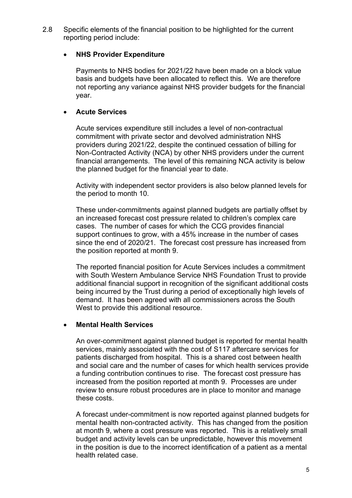2.8 Specific elements of the financial position to be highlighted for the current reporting period include:

#### **NHS Provider Expenditure**

Payments to NHS bodies for 2021/22 have been made on a block value basis and budgets have been allocated to reflect this. We are therefore not reporting any variance against NHS provider budgets for the financial year.

#### **Acute Services**

Acute services expenditure still includes a level of non-contractual commitment with private sector and devolved administration NHS providers during 2021/22, despite the continued cessation of billing for Non-Contracted Activity (NCA) by other NHS providers under the current financial arrangements. The level of this remaining NCA activity is below the planned budget for the financial year to date.

Activity with independent sector providers is also below planned levels for the period to month 10.

These under-commitments against planned budgets are partially offset by an increased forecast cost pressure related to children's complex care cases. The number of cases for which the CCG provides financial support continues to grow, with a 45% increase in the number of cases since the end of 2020/21. The forecast cost pressure has increased from the position reported at month 9.

The reported financial position for Acute Services includes a commitment with South Western Ambulance Service NHS Foundation Trust to provide additional financial support in recognition of the significant additional costs being incurred by the Trust during a period of exceptionally high levels of demand. It has been agreed with all commissioners across the South West to provide this additional resource.

#### **Mental Health Services**

An over-commitment against planned budget is reported for mental health services, mainly associated with the cost of S117 aftercare services for patients discharged from hospital. This is a shared cost between health and social care and the number of cases for which health services provide a funding contribution continues to rise. The forecast cost pressure has increased from the position reported at month 9. Processes are under review to ensure robust procedures are in place to monitor and manage these costs.

A forecast under-commitment is now reported against planned budgets for mental health non-contracted activity. This has changed from the position at month 9, where a cost pressure was reported. This is a relatively small budget and activity levels can be unpredictable, however this movement in the position is due to the incorrect identification of a patient as a mental health related case.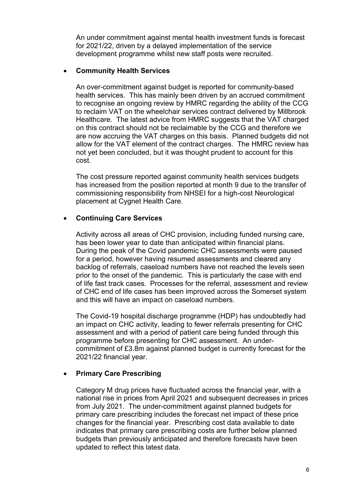An under commitment against mental health investment funds is forecast for 2021/22, driven by a delayed implementation of the service development programme whilst new staff posts were recruited.

#### **Community Health Services**

An over-commitment against budget is reported for community-based health services. This has mainly been driven by an accrued commitment to recognise an ongoing review by HMRC regarding the ability of the CCG to reclaim VAT on the wheelchair services contract delivered by Millbrook Healthcare. The latest advice from HMRC suggests that the VAT charged on this contract should not be reclaimable by the CCG and therefore we are now accruing the VAT charges on this basis. Planned budgets did not allow for the VAT element of the contract charges. The HMRC review has not yet been concluded, but it was thought prudent to account for this cost.

The cost pressure reported against community health services budgets has increased from the position reported at month 9 due to the transfer of commissioning responsibility from NHSEI for a high-cost Neurological placement at Cygnet Health Care.

## **Continuing Care Services**

Activity across all areas of CHC provision, including funded nursing care, has been lower year to date than anticipated within financial plans. During the peak of the Covid pandemic CHC assessments were paused for a period, however having resumed assessments and cleared any backlog of referrals, caseload numbers have not reached the levels seen prior to the onset of the pandemic. This is particularly the case with end of life fast track cases. Processes for the referral, assessment and review of CHC end of life cases has been improved across the Somerset system and this will have an impact on caseload numbers.

The Covid-19 hospital discharge programme (HDP) has undoubtedly had an impact on CHC activity, leading to fewer referrals presenting for CHC assessment and with a period of patient care being funded through this programme before presenting for CHC assessment. An undercommitment of £3.8m against planned budget is currently forecast for the 2021/22 financial year.

## **Primary Care Prescribing**

Category M drug prices have fluctuated across the financial year, with a national rise in prices from April 2021 and subsequent decreases in prices from July 2021. The under-commitment against planned budgets for primary care prescribing includes the forecast net impact of these price changes for the financial year. Prescribing cost data available to date indicates that primary care prescribing costs are further below planned budgets than previously anticipated and therefore forecasts have been updated to reflect this latest data.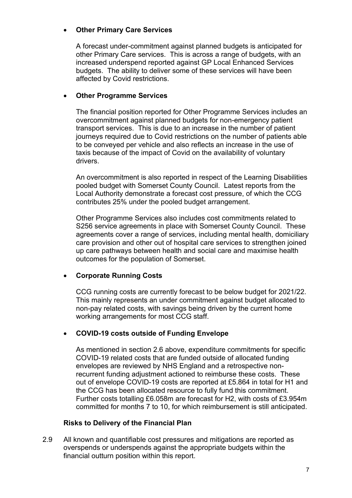#### **Other Primary Care Services**

A forecast under-commitment against planned budgets is anticipated for other Primary Care services. This is across a range of budgets, with an increased underspend reported against GP Local Enhanced Services budgets. The ability to deliver some of these services will have been affected by Covid restrictions.

#### **Other Programme Services**

The financial position reported for Other Programme Services includes an overcommitment against planned budgets for non-emergency patient transport services. This is due to an increase in the number of patient journeys required due to Covid restrictions on the number of patients able to be conveyed per vehicle and also reflects an increase in the use of taxis because of the impact of Covid on the availability of voluntary drivers.

An overcommitment is also reported in respect of the Learning Disabilities pooled budget with Somerset County Council. Latest reports from the Local Authority demonstrate a forecast cost pressure, of which the CCG contributes 25% under the pooled budget arrangement.

Other Programme Services also includes cost commitments related to S256 service agreements in place with Somerset County Council. These agreements cover a range of services, including mental health, domiciliary care provision and other out of hospital care services to strengthen joined up care pathways between health and social care and maximise health outcomes for the population of Somerset.

## **Corporate Running Costs**

CCG running costs are currently forecast to be below budget for 2021/22. This mainly represents an under commitment against budget allocated to non-pay related costs, with savings being driven by the current home working arrangements for most CCG staff.

## **COVID-19 costs outside of Funding Envelope**

As mentioned in section 2.6 above, expenditure commitments for specific COVID-19 related costs that are funded outside of allocated funding envelopes are reviewed by NHS England and a retrospective nonrecurrent funding adjustment actioned to reimburse these costs. These out of envelope COVID-19 costs are reported at £5.864 in total for H1 and the CCG has been allocated resource to fully fund this commitment. Further costs totalling £6.058m are forecast for H2, with costs of £3.954m committed for months 7 to 10, for which reimbursement is still anticipated.

## **Risks to Delivery of the Financial Plan**

2.9 All known and quantifiable cost pressures and mitigations are reported as overspends or underspends against the appropriate budgets within the financial outturn position within this report.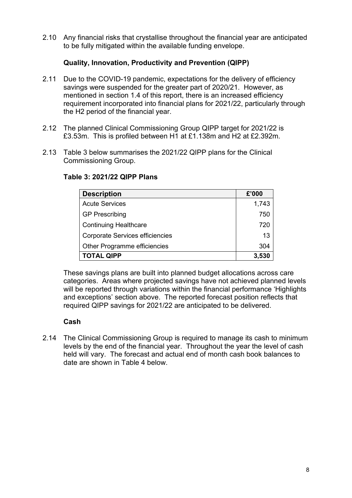2.10 Any financial risks that crystallise throughout the financial year are anticipated to be fully mitigated within the available funding envelope.

## **Quality, Innovation, Productivity and Prevention (QIPP)**

- 2.11 Due to the COVID-19 pandemic, expectations for the delivery of efficiency savings were suspended for the greater part of 2020/21. However, as mentioned in section 1.4 of this report, there is an increased efficiency requirement incorporated into financial plans for 2021/22, particularly through the H2 period of the financial year.
- 2.12 The planned Clinical Commissioning Group QIPP target for 2021/22 is £3.53m. This is profiled between H1 at £1.138m and H2 at £2.392m.
- 2.13 Table 3 below summarises the 2021/22 QIPP plans for the Clinical Commissioning Group.

| <b>Description</b>                     | £'000 |
|----------------------------------------|-------|
| <b>Acute Services</b>                  | 1,743 |
| <b>GP Prescribing</b>                  | 750   |
| <b>Continuing Healthcare</b>           | 720   |
| <b>Corporate Services efficiencies</b> | 13    |
| Other Programme efficiencies           | 304   |
| <b>TOTAL QIPP</b>                      | 3,530 |

## **Table 3: 2021/22 QIPP Plans**

These savings plans are built into planned budget allocations across care categories. Areas where projected savings have not achieved planned levels will be reported through variations within the financial performance 'Highlights and exceptions' section above. The reported forecast position reflects that required QIPP savings for 2021/22 are anticipated to be delivered.

## **Cash**

2.14 The Clinical Commissioning Group is required to manage its cash to minimum levels by the end of the financial year. Throughout the year the level of cash held will vary. The forecast and actual end of month cash book balances to date are shown in Table 4 below.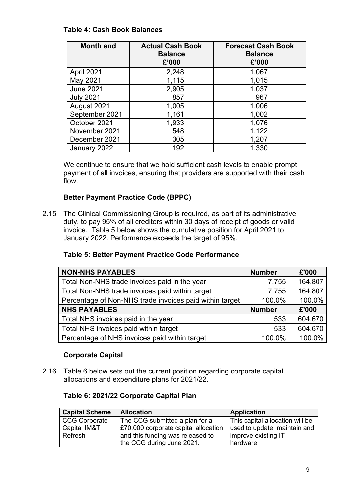## **Table 4: Cash Book Balances**

| <b>Month end</b> | <b>Actual Cash Book</b><br><b>Balance</b><br>£'000 | <b>Forecast Cash Book</b><br><b>Balance</b><br>£'000 |
|------------------|----------------------------------------------------|------------------------------------------------------|
| April 2021       | 2,248                                              | 1,067                                                |
| May 2021         | 1,115                                              | 1,015                                                |
| <b>June 2021</b> | 2,905                                              | 1,037                                                |
| <b>July 2021</b> | 857                                                | 967                                                  |
| August 2021      | 1,005                                              | 1,006                                                |
| September 2021   | 1,161                                              | 1,002                                                |
| October 2021     | 1,933                                              | 1,076                                                |
| November 2021    | 548                                                | 1,122                                                |
| December 2021    | 305                                                | 1,207                                                |
| January 2022     | 192                                                | 1,330                                                |

We continue to ensure that we hold sufficient cash levels to enable prompt payment of all invoices, ensuring that providers are supported with their cash flow.

## **Better Payment Practice Code (BPPC)**

2.15 The Clinical Commissioning Group is required, as part of its administrative duty, to pay 95% of all creditors within 30 days of receipt of goods or valid invoice. Table 5 below shows the cumulative position for April 2021 to January 2022. Performance exceeds the target of 95%.

## **Table 5: Better Payment Practice Code Performance**

| <b>NON-NHS PAYABLES</b>                                 | <b>Number</b> | £'000   |
|---------------------------------------------------------|---------------|---------|
| Total Non-NHS trade invoices paid in the year           | 7,755         | 164,807 |
| Total Non-NHS trade invoices paid within target         | 7,755         | 164,807 |
| Percentage of Non-NHS trade invoices paid within target | 100.0%        | 100.0%  |
| <b>NHS PAYABLES</b>                                     | <b>Number</b> | £'000   |
| Total NHS invoices paid in the year                     | 533           | 604,670 |
| Total NHS invoices paid within target                   | 533           | 604,670 |
| Percentage of NHS invoices paid within target           | 100.0%        | 100.0%  |

## **Corporate Capital**

2.16 Table 6 below sets out the current position regarding corporate capital allocations and expenditure plans for 2021/22.

## **Table 6: 2021/22 Corporate Capital Plan**

| <b>Capital Scheme</b> | <b>Allocation</b>                    | <b>Application</b>              |
|-----------------------|--------------------------------------|---------------------------------|
| <b>CCG Corporate</b>  | The CCG submitted a plan for a       | This capital allocation will be |
| Capital IM&T          | £70,000 corporate capital allocation | used to update, maintain and    |
| Refresh               | and this funding was released to     | improve existing IT             |
|                       | the CCG during June 2021.            | hardware.                       |